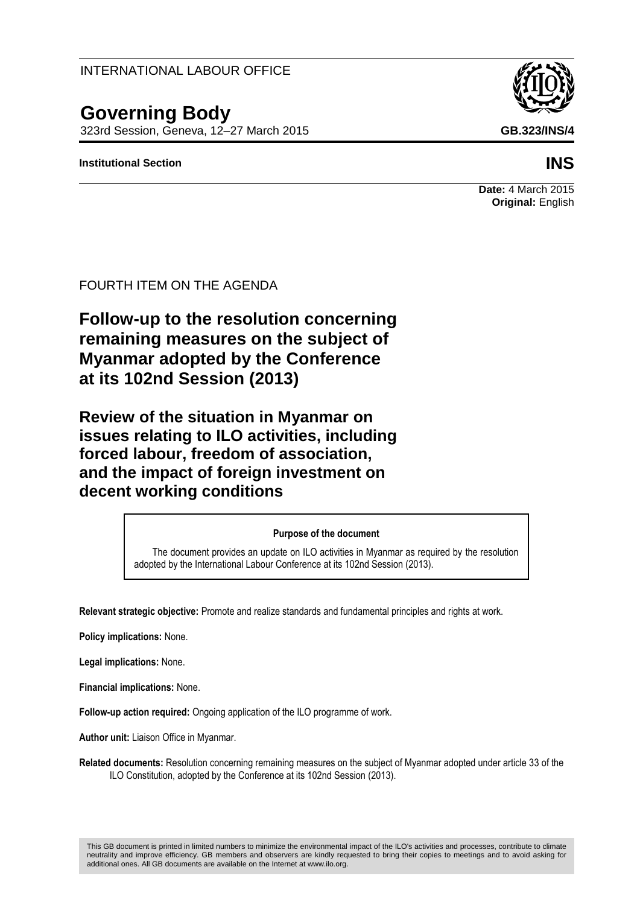INTERNATIONAL LABOUR OFFICE

# **Governing Body**

323rd Session, Geneva, 12–27 March 2015 **GB.323/INS/4**

#### **Institutional Section INS**



**Date:** 4 March 2015 **Original:** English

#### FOURTH ITEM ON THE AGENDA

**Follow-up to the resolution concerning remaining measures on the subject of Myanmar adopted by the Conference at its 102nd Session (2013)**

**Review of the situation in Myanmar on issues relating to ILO activities, including forced labour, freedom of association, and the impact of foreign investment on decent working conditions**

#### **Purpose of the document**

The document provides an update on ILO activities in Myanmar as required by the resolution adopted by the International Labour Conference at its 102nd Session (2013).

**Relevant strategic objective:** Promote and realize standards and fundamental principles and rights at work.

**Policy implications:** None.

**Legal implications:** None.

**Financial implications:** None.

**Follow-up action required:** Ongoing application of the ILO programme of work.

**Author unit:** Liaison Office in Myanmar.

**Related documents:** Resolution concerning remaining measures on the subject of Myanmar adopted under article 33 of the ILO Constitution, adopted by the Conference at its 102nd Session (2013).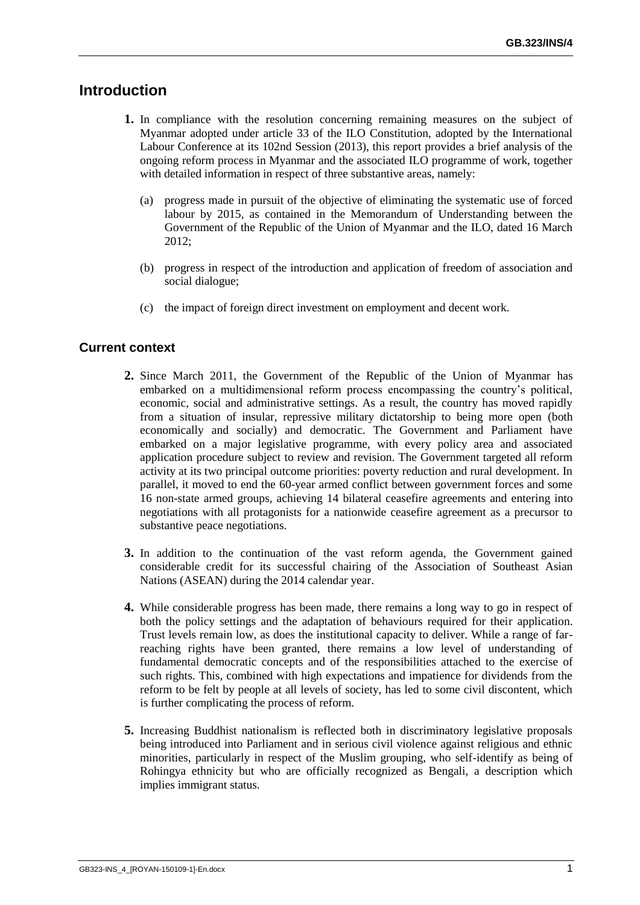# **Introduction**

- **1.** In compliance with the resolution concerning remaining measures on the subject of Myanmar adopted under article 33 of the ILO Constitution, adopted by the International Labour Conference at its 102nd Session (2013), this report provides a brief analysis of the ongoing reform process in Myanmar and the associated ILO programme of work, together with detailed information in respect of three substantive areas, namely:
	- (a) progress made in pursuit of the objective of eliminating the systematic use of forced labour by 2015, as contained in the Memorandum of Understanding between the Government of the Republic of the Union of Myanmar and the ILO, dated 16 March 2012;
	- (b) progress in respect of the introduction and application of freedom of association and social dialogue;
	- (c) the impact of foreign direct investment on employment and decent work.

#### **Current context**

- **2.** Since March 2011, the Government of the Republic of the Union of Myanmar has embarked on a multidimensional reform process encompassing the country's political, economic, social and administrative settings. As a result, the country has moved rapidly from a situation of insular, repressive military dictatorship to being more open (both economically and socially) and democratic. The Government and Parliament have embarked on a major legislative programme, with every policy area and associated application procedure subject to review and revision. The Government targeted all reform activity at its two principal outcome priorities: poverty reduction and rural development. In parallel, it moved to end the 60-year armed conflict between government forces and some 16 non-state armed groups, achieving 14 bilateral ceasefire agreements and entering into negotiations with all protagonists for a nationwide ceasefire agreement as a precursor to substantive peace negotiations.
- **3.** In addition to the continuation of the vast reform agenda, the Government gained considerable credit for its successful chairing of the Association of Southeast Asian Nations (ASEAN) during the 2014 calendar year.
- **4.** While considerable progress has been made, there remains a long way to go in respect of both the policy settings and the adaptation of behaviours required for their application. Trust levels remain low, as does the institutional capacity to deliver. While a range of farreaching rights have been granted, there remains a low level of understanding of fundamental democratic concepts and of the responsibilities attached to the exercise of such rights. This, combined with high expectations and impatience for dividends from the reform to be felt by people at all levels of society, has led to some civil discontent, which is further complicating the process of reform.
- **5.** Increasing Buddhist nationalism is reflected both in discriminatory legislative proposals being introduced into Parliament and in serious civil violence against religious and ethnic minorities, particularly in respect of the Muslim grouping, who self-identify as being of Rohingya ethnicity but who are officially recognized as Bengali, a description which implies immigrant status.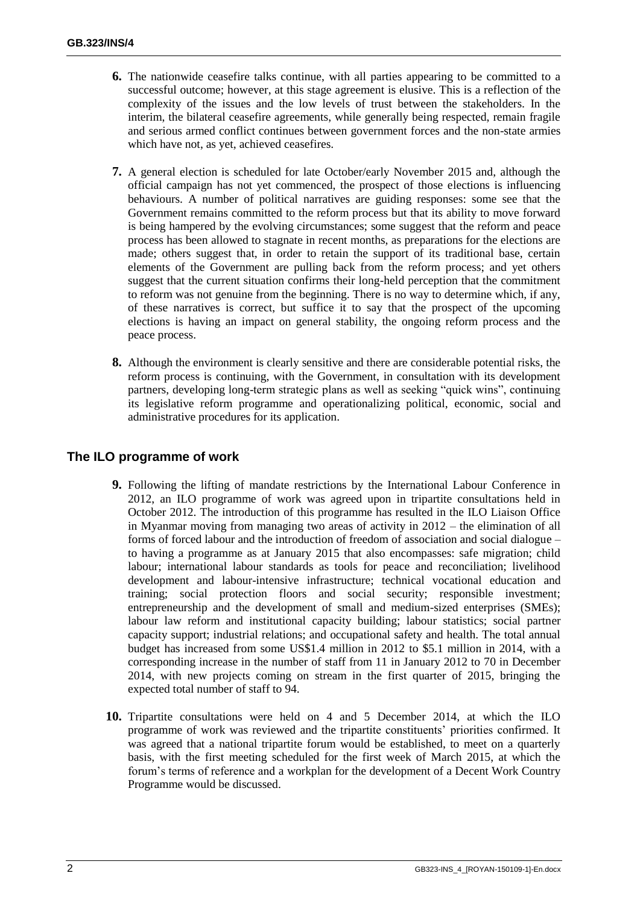- **6.** The nationwide ceasefire talks continue, with all parties appearing to be committed to a successful outcome; however, at this stage agreement is elusive. This is a reflection of the complexity of the issues and the low levels of trust between the stakeholders. In the interim, the bilateral ceasefire agreements, while generally being respected, remain fragile and serious armed conflict continues between government forces and the non-state armies which have not, as yet, achieved ceasefires.
- **7.** A general election is scheduled for late October/early November 2015 and, although the official campaign has not yet commenced, the prospect of those elections is influencing behaviours. A number of political narratives are guiding responses: some see that the Government remains committed to the reform process but that its ability to move forward is being hampered by the evolving circumstances; some suggest that the reform and peace process has been allowed to stagnate in recent months, as preparations for the elections are made; others suggest that, in order to retain the support of its traditional base, certain elements of the Government are pulling back from the reform process; and yet others suggest that the current situation confirms their long-held perception that the commitment to reform was not genuine from the beginning. There is no way to determine which, if any, of these narratives is correct, but suffice it to say that the prospect of the upcoming elections is having an impact on general stability, the ongoing reform process and the peace process.
- **8.** Although the environment is clearly sensitive and there are considerable potential risks, the reform process is continuing, with the Government, in consultation with its development partners, developing long-term strategic plans as well as seeking "quick wins", continuing its legislative reform programme and operationalizing political, economic, social and administrative procedures for its application.

### **The ILO programme of work**

- **9.** Following the lifting of mandate restrictions by the International Labour Conference in 2012, an ILO programme of work was agreed upon in tripartite consultations held in October 2012. The introduction of this programme has resulted in the ILO Liaison Office in Myanmar moving from managing two areas of activity in 2012 – the elimination of all forms of forced labour and the introduction of freedom of association and social dialogue – to having a programme as at January 2015 that also encompasses: safe migration; child labour; international labour standards as tools for peace and reconciliation; livelihood development and labour-intensive infrastructure; technical vocational education and training; social protection floors and social security; responsible investment; entrepreneurship and the development of small and medium-sized enterprises (SMEs); labour law reform and institutional capacity building; labour statistics; social partner capacity support; industrial relations; and occupational safety and health. The total annual budget has increased from some US\$1.4 million in 2012 to \$5.1 million in 2014, with a corresponding increase in the number of staff from 11 in January 2012 to 70 in December 2014, with new projects coming on stream in the first quarter of 2015, bringing the expected total number of staff to 94.
- **10.** Tripartite consultations were held on 4 and 5 December 2014, at which the ILO programme of work was reviewed and the tripartite constituents' priorities confirmed. It was agreed that a national tripartite forum would be established, to meet on a quarterly basis, with the first meeting scheduled for the first week of March 2015, at which the forum's terms of reference and a workplan for the development of a Decent Work Country Programme would be discussed.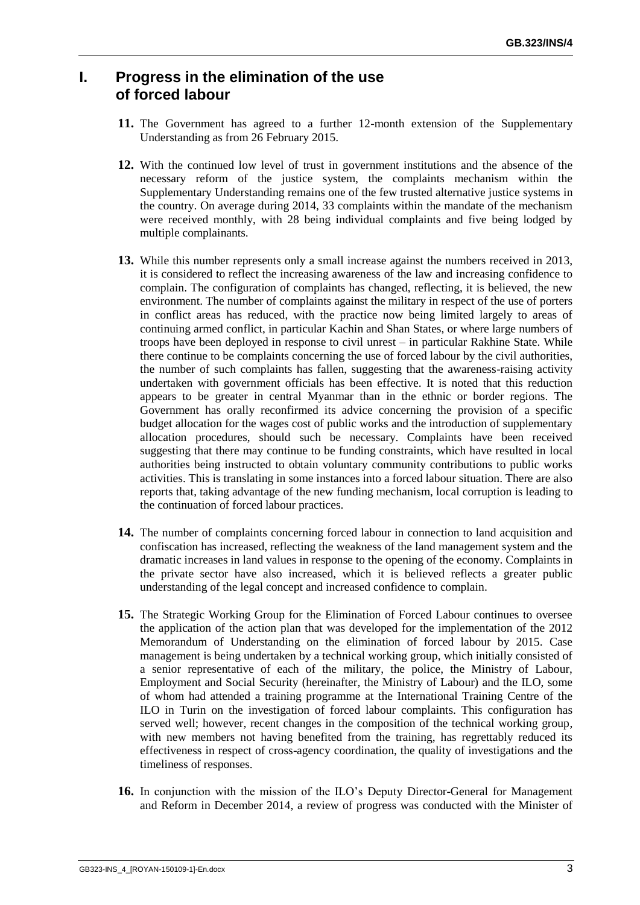# **I. Progress in the elimination of the use of forced labour**

- **11.** The Government has agreed to a further 12-month extension of the Supplementary Understanding as from 26 February 2015.
- **12.** With the continued low level of trust in government institutions and the absence of the necessary reform of the justice system, the complaints mechanism within the Supplementary Understanding remains one of the few trusted alternative justice systems in the country. On average during 2014, 33 complaints within the mandate of the mechanism were received monthly, with 28 being individual complaints and five being lodged by multiple complainants.
- **13.** While this number represents only a small increase against the numbers received in 2013, it is considered to reflect the increasing awareness of the law and increasing confidence to complain. The configuration of complaints has changed, reflecting, it is believed, the new environment. The number of complaints against the military in respect of the use of porters in conflict areas has reduced, with the practice now being limited largely to areas of continuing armed conflict, in particular Kachin and Shan States, or where large numbers of troops have been deployed in response to civil unrest – in particular Rakhine State. While there continue to be complaints concerning the use of forced labour by the civil authorities, the number of such complaints has fallen, suggesting that the awareness-raising activity undertaken with government officials has been effective. It is noted that this reduction appears to be greater in central Myanmar than in the ethnic or border regions. The Government has orally reconfirmed its advice concerning the provision of a specific budget allocation for the wages cost of public works and the introduction of supplementary allocation procedures, should such be necessary. Complaints have been received suggesting that there may continue to be funding constraints, which have resulted in local authorities being instructed to obtain voluntary community contributions to public works activities. This is translating in some instances into a forced labour situation. There are also reports that, taking advantage of the new funding mechanism, local corruption is leading to the continuation of forced labour practices.
- **14.** The number of complaints concerning forced labour in connection to land acquisition and confiscation has increased, reflecting the weakness of the land management system and the dramatic increases in land values in response to the opening of the economy. Complaints in the private sector have also increased, which it is believed reflects a greater public understanding of the legal concept and increased confidence to complain.
- **15.** The Strategic Working Group for the Elimination of Forced Labour continues to oversee the application of the action plan that was developed for the implementation of the 2012 Memorandum of Understanding on the elimination of forced labour by 2015. Case management is being undertaken by a technical working group, which initially consisted of a senior representative of each of the military, the police, the Ministry of Labour, Employment and Social Security (hereinafter, the Ministry of Labour) and the ILO, some of whom had attended a training programme at the International Training Centre of the ILO in Turin on the investigation of forced labour complaints. This configuration has served well; however, recent changes in the composition of the technical working group, with new members not having benefited from the training, has regrettably reduced its effectiveness in respect of cross-agency coordination, the quality of investigations and the timeliness of responses.
- **16.** In conjunction with the mission of the ILO's Deputy Director-General for Management and Reform in December 2014, a review of progress was conducted with the Minister of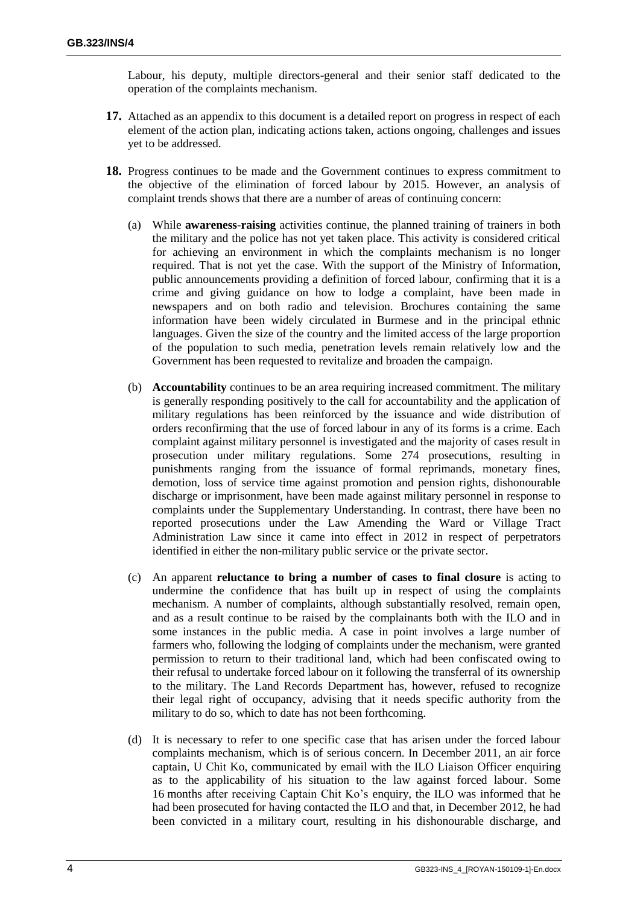Labour, his deputy, multiple directors-general and their senior staff dedicated to the operation of the complaints mechanism.

- **17.** Attached as an appendix to this document is a detailed report on progress in respect of each element of the action plan, indicating actions taken, actions ongoing, challenges and issues yet to be addressed.
- **18.** Progress continues to be made and the Government continues to express commitment to the objective of the elimination of forced labour by 2015. However, an analysis of complaint trends shows that there are a number of areas of continuing concern:
	- (a) While **awareness-raising** activities continue, the planned training of trainers in both the military and the police has not yet taken place. This activity is considered critical for achieving an environment in which the complaints mechanism is no longer required. That is not yet the case. With the support of the Ministry of Information, public announcements providing a definition of forced labour, confirming that it is a crime and giving guidance on how to lodge a complaint, have been made in newspapers and on both radio and television. Brochures containing the same information have been widely circulated in Burmese and in the principal ethnic languages. Given the size of the country and the limited access of the large proportion of the population to such media, penetration levels remain relatively low and the Government has been requested to revitalize and broaden the campaign.
	- (b) **Accountability** continues to be an area requiring increased commitment. The military is generally responding positively to the call for accountability and the application of military regulations has been reinforced by the issuance and wide distribution of orders reconfirming that the use of forced labour in any of its forms is a crime. Each complaint against military personnel is investigated and the majority of cases result in prosecution under military regulations. Some 274 prosecutions, resulting in punishments ranging from the issuance of formal reprimands, monetary fines, demotion, loss of service time against promotion and pension rights, dishonourable discharge or imprisonment, have been made against military personnel in response to complaints under the Supplementary Understanding. In contrast, there have been no reported prosecutions under the Law Amending the Ward or Village Tract Administration Law since it came into effect in 2012 in respect of perpetrators identified in either the non-military public service or the private sector.
	- (c) An apparent **reluctance to bring a number of cases to final closure** is acting to undermine the confidence that has built up in respect of using the complaints mechanism. A number of complaints, although substantially resolved, remain open, and as a result continue to be raised by the complainants both with the ILO and in some instances in the public media. A case in point involves a large number of farmers who, following the lodging of complaints under the mechanism, were granted permission to return to their traditional land, which had been confiscated owing to their refusal to undertake forced labour on it following the transferral of its ownership to the military. The Land Records Department has, however, refused to recognize their legal right of occupancy, advising that it needs specific authority from the military to do so, which to date has not been forthcoming.
	- (d) It is necessary to refer to one specific case that has arisen under the forced labour complaints mechanism, which is of serious concern. In December 2011, an air force captain, U Chit Ko, communicated by email with the ILO Liaison Officer enquiring as to the applicability of his situation to the law against forced labour. Some 16 months after receiving Captain Chit Ko's enquiry, the ILO was informed that he had been prosecuted for having contacted the ILO and that, in December 2012, he had been convicted in a military court, resulting in his dishonourable discharge, and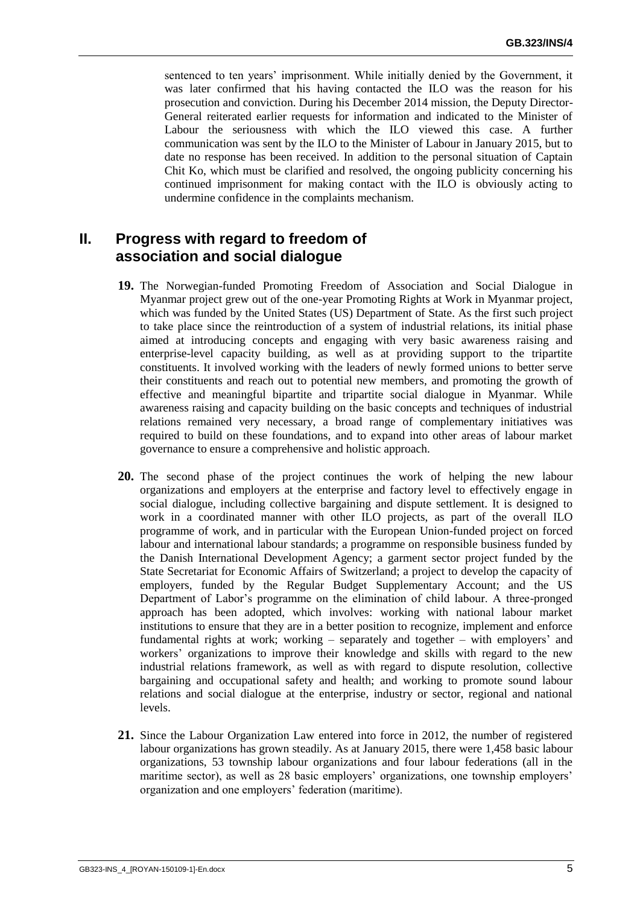sentenced to ten years' imprisonment. While initially denied by the Government, it was later confirmed that his having contacted the ILO was the reason for his prosecution and conviction. During his December 2014 mission, the Deputy Director-General reiterated earlier requests for information and indicated to the Minister of Labour the seriousness with which the ILO viewed this case. A further communication was sent by the ILO to the Minister of Labour in January 2015, but to date no response has been received. In addition to the personal situation of Captain Chit Ko, which must be clarified and resolved, the ongoing publicity concerning his continued imprisonment for making contact with the ILO is obviously acting to undermine confidence in the complaints mechanism.

# **II. Progress with regard to freedom of association and social dialogue**

- **19.** The Norwegian-funded Promoting Freedom of Association and Social Dialogue in Myanmar project grew out of the one-year Promoting Rights at Work in Myanmar project, which was funded by the United States (US) Department of State. As the first such project to take place since the reintroduction of a system of industrial relations, its initial phase aimed at introducing concepts and engaging with very basic awareness raising and enterprise-level capacity building, as well as at providing support to the tripartite constituents. It involved working with the leaders of newly formed unions to better serve their constituents and reach out to potential new members, and promoting the growth of effective and meaningful bipartite and tripartite social dialogue in Myanmar. While awareness raising and capacity building on the basic concepts and techniques of industrial relations remained very necessary, a broad range of complementary initiatives was required to build on these foundations, and to expand into other areas of labour market governance to ensure a comprehensive and holistic approach.
- **20.** The second phase of the project continues the work of helping the new labour organizations and employers at the enterprise and factory level to effectively engage in social dialogue, including collective bargaining and dispute settlement. It is designed to work in a coordinated manner with other ILO projects, as part of the overall ILO programme of work, and in particular with the European Union-funded project on forced labour and international labour standards; a programme on responsible business funded by the Danish International Development Agency; a garment sector project funded by the State Secretariat for Economic Affairs of Switzerland; a project to develop the capacity of employers, funded by the Regular Budget Supplementary Account; and the US Department of Labor's programme on the elimination of child labour. A three-pronged approach has been adopted, which involves: working with national labour market institutions to ensure that they are in a better position to recognize, implement and enforce fundamental rights at work; working – separately and together – with employers' and workers' organizations to improve their knowledge and skills with regard to the new industrial relations framework, as well as with regard to dispute resolution, collective bargaining and occupational safety and health; and working to promote sound labour relations and social dialogue at the enterprise, industry or sector, regional and national levels.
- **21.** Since the Labour Organization Law entered into force in 2012, the number of registered labour organizations has grown steadily. As at January 2015, there were 1,458 basic labour organizations, 53 township labour organizations and four labour federations (all in the maritime sector), as well as 28 basic employers' organizations, one township employers' organization and one employers' federation (maritime).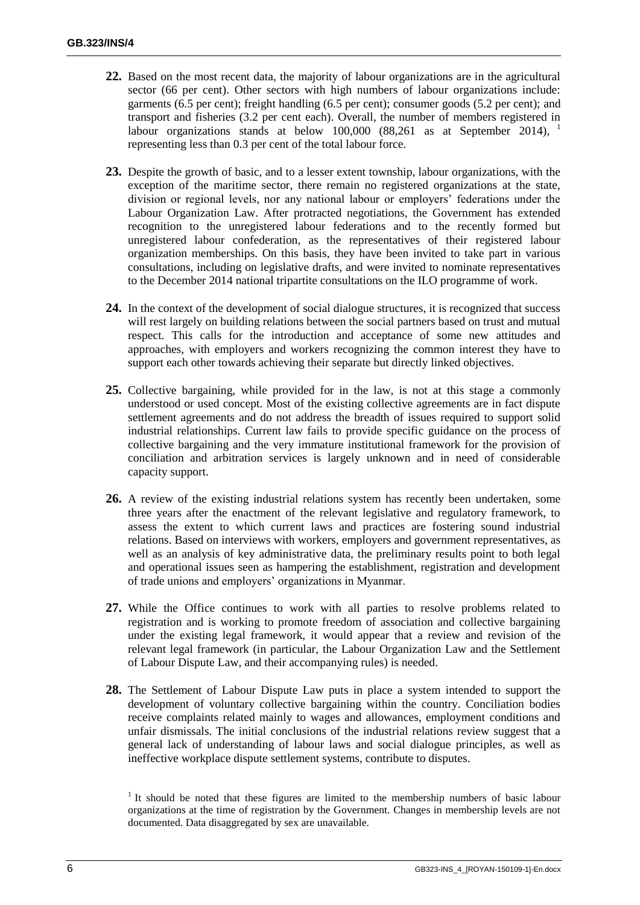- **22.** Based on the most recent data, the majority of labour organizations are in the agricultural sector (66 per cent). Other sectors with high numbers of labour organizations include: garments (6.5 per cent); freight handling (6.5 per cent); consumer goods (5.2 per cent); and transport and fisheries (3.2 per cent each). Overall, the number of members registered in labour organizations stands at below 100,000 (88,261 as at September 2014), representing less than 0.3 per cent of the total labour force.
- **23.** Despite the growth of basic, and to a lesser extent township, labour organizations, with the exception of the maritime sector, there remain no registered organizations at the state, division or regional levels, nor any national labour or employers' federations under the Labour Organization Law. After protracted negotiations, the Government has extended recognition to the unregistered labour federations and to the recently formed but unregistered labour confederation, as the representatives of their registered labour organization memberships. On this basis, they have been invited to take part in various consultations, including on legislative drafts, and were invited to nominate representatives to the December 2014 national tripartite consultations on the ILO programme of work.
- **24.** In the context of the development of social dialogue structures, it is recognized that success will rest largely on building relations between the social partners based on trust and mutual respect. This calls for the introduction and acceptance of some new attitudes and approaches, with employers and workers recognizing the common interest they have to support each other towards achieving their separate but directly linked objectives.
- **25.** Collective bargaining, while provided for in the law, is not at this stage a commonly understood or used concept. Most of the existing collective agreements are in fact dispute settlement agreements and do not address the breadth of issues required to support solid industrial relationships. Current law fails to provide specific guidance on the process of collective bargaining and the very immature institutional framework for the provision of conciliation and arbitration services is largely unknown and in need of considerable capacity support.
- 26. A review of the existing industrial relations system has recently been undertaken, some three years after the enactment of the relevant legislative and regulatory framework, to assess the extent to which current laws and practices are fostering sound industrial relations. Based on interviews with workers, employers and government representatives, as well as an analysis of key administrative data, the preliminary results point to both legal and operational issues seen as hampering the establishment, registration and development of trade unions and employers' organizations in Myanmar.
- **27.** While the Office continues to work with all parties to resolve problems related to registration and is working to promote freedom of association and collective bargaining under the existing legal framework, it would appear that a review and revision of the relevant legal framework (in particular, the Labour Organization Law and the Settlement of Labour Dispute Law, and their accompanying rules) is needed.
- **28.** The Settlement of Labour Dispute Law puts in place a system intended to support the development of voluntary collective bargaining within the country. Conciliation bodies receive complaints related mainly to wages and allowances, employment conditions and unfair dismissals. The initial conclusions of the industrial relations review suggest that a general lack of understanding of labour laws and social dialogue principles, as well as ineffective workplace dispute settlement systems, contribute to disputes.

<sup>&</sup>lt;sup>1</sup> It should be noted that these figures are limited to the membership numbers of basic labour organizations at the time of registration by the Government. Changes in membership levels are not documented. Data disaggregated by sex are unavailable.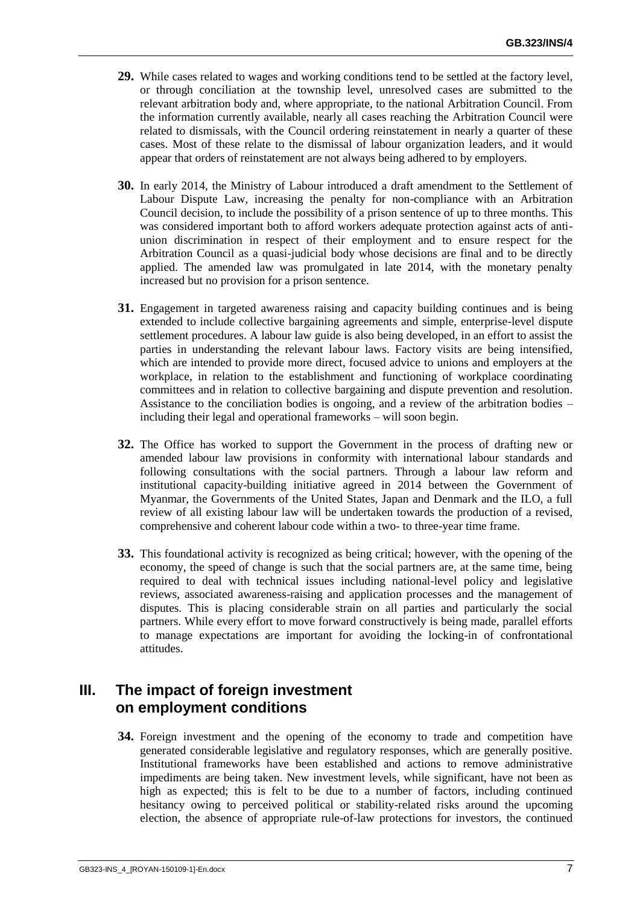- **29.** While cases related to wages and working conditions tend to be settled at the factory level, or through conciliation at the township level, unresolved cases are submitted to the relevant arbitration body and, where appropriate, to the national Arbitration Council. From the information currently available, nearly all cases reaching the Arbitration Council were related to dismissals, with the Council ordering reinstatement in nearly a quarter of these cases. Most of these relate to the dismissal of labour organization leaders, and it would appear that orders of reinstatement are not always being adhered to by employers.
- **30.** In early 2014, the Ministry of Labour introduced a draft amendment to the Settlement of Labour Dispute Law, increasing the penalty for non-compliance with an Arbitration Council decision, to include the possibility of a prison sentence of up to three months. This was considered important both to afford workers adequate protection against acts of antiunion discrimination in respect of their employment and to ensure respect for the Arbitration Council as a quasi-judicial body whose decisions are final and to be directly applied. The amended law was promulgated in late 2014, with the monetary penalty increased but no provision for a prison sentence.
- **31.** Engagement in targeted awareness raising and capacity building continues and is being extended to include collective bargaining agreements and simple, enterprise-level dispute settlement procedures. A labour law guide is also being developed, in an effort to assist the parties in understanding the relevant labour laws. Factory visits are being intensified, which are intended to provide more direct, focused advice to unions and employers at the workplace, in relation to the establishment and functioning of workplace coordinating committees and in relation to collective bargaining and dispute prevention and resolution. Assistance to the conciliation bodies is ongoing, and a review of the arbitration bodies – including their legal and operational frameworks – will soon begin.
- **32.** The Office has worked to support the Government in the process of drafting new or amended labour law provisions in conformity with international labour standards and following consultations with the social partners. Through a labour law reform and institutional capacity-building initiative agreed in 2014 between the Government of Myanmar, the Governments of the United States, Japan and Denmark and the ILO, a full review of all existing labour law will be undertaken towards the production of a revised, comprehensive and coherent labour code within a two- to three-year time frame.
- **33.** This foundational activity is recognized as being critical; however, with the opening of the economy, the speed of change is such that the social partners are, at the same time, being required to deal with technical issues including national-level policy and legislative reviews, associated awareness-raising and application processes and the management of disputes. This is placing considerable strain on all parties and particularly the social partners. While every effort to move forward constructively is being made, parallel efforts to manage expectations are important for avoiding the locking-in of confrontational attitudes.

# **III. The impact of foreign investment on employment conditions**

**34.** Foreign investment and the opening of the economy to trade and competition have generated considerable legislative and regulatory responses, which are generally positive. Institutional frameworks have been established and actions to remove administrative impediments are being taken. New investment levels, while significant, have not been as high as expected; this is felt to be due to a number of factors, including continued hesitancy owing to perceived political or stability-related risks around the upcoming election, the absence of appropriate rule-of-law protections for investors, the continued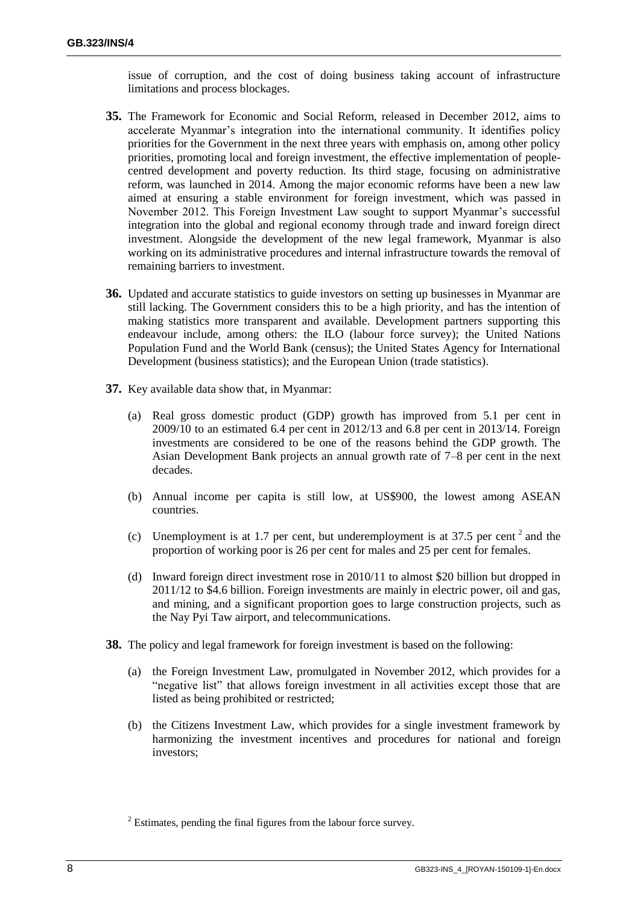issue of corruption, and the cost of doing business taking account of infrastructure limitations and process blockages.

- **35.** The Framework for Economic and Social Reform, released in December 2012, aims to accelerate Myanmar's integration into the international community. It identifies policy priorities for the Government in the next three years with emphasis on, among other policy priorities, promoting local and foreign investment, the effective implementation of peoplecentred development and poverty reduction. Its third stage, focusing on administrative reform, was launched in 2014. Among the major economic reforms have been a new law aimed at ensuring a stable environment for foreign investment, which was passed in November 2012. This Foreign Investment Law sought to support Myanmar's successful integration into the global and regional economy through trade and inward foreign direct investment. Alongside the development of the new legal framework, Myanmar is also working on its administrative procedures and internal infrastructure towards the removal of remaining barriers to investment.
- **36.** Updated and accurate statistics to guide investors on setting up businesses in Myanmar are still lacking. The Government considers this to be a high priority, and has the intention of making statistics more transparent and available. Development partners supporting this endeavour include, among others: the ILO (labour force survey); the United Nations Population Fund and the World Bank (census); the United States Agency for International Development (business statistics); and the European Union (trade statistics).
- **37.** Key available data show that, in Myanmar:
	- (a) Real gross domestic product (GDP) growth has improved from 5.1 per cent in 2009/10 to an estimated 6.4 per cent in 2012/13 and 6.8 per cent in 2013/14. Foreign investments are considered to be one of the reasons behind the GDP growth. The Asian Development Bank projects an annual growth rate of 7–8 per cent in the next decades.
	- (b) Annual income per capita is still low, at US\$900, the lowest among ASEAN countries.
	- (c) Unemployment is at 1.7 per cent, but underemployment is at 37.5 per cent  $2$  and the proportion of working poor is 26 per cent for males and 25 per cent for females.
	- (d) Inward foreign direct investment rose in 2010/11 to almost \$20 billion but dropped in 2011/12 to \$4.6 billion. Foreign investments are mainly in electric power, oil and gas, and mining, and a significant proportion goes to large construction projects, such as the Nay Pyi Taw airport, and telecommunications.
- **38.** The policy and legal framework for foreign investment is based on the following:
	- (a) the Foreign Investment Law, promulgated in November 2012, which provides for a "negative list" that allows foreign investment in all activities except those that are listed as being prohibited or restricted;
	- (b) the Citizens Investment Law, which provides for a single investment framework by harmonizing the investment incentives and procedures for national and foreign investors;

 $2$  Estimates, pending the final figures from the labour force survey.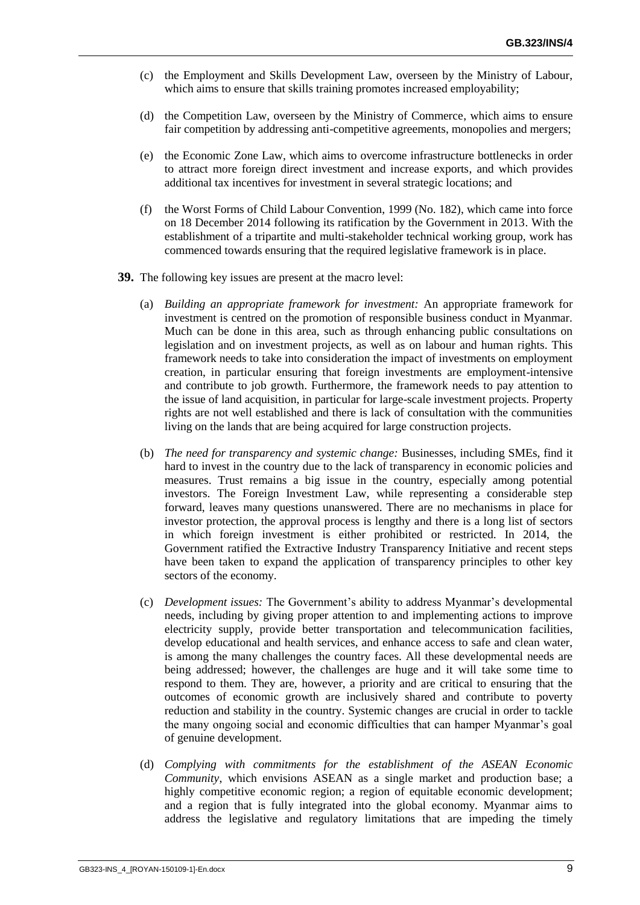- (c) the Employment and Skills Development Law, overseen by the Ministry of Labour, which aims to ensure that skills training promotes increased employability;
- (d) the Competition Law, overseen by the Ministry of Commerce, which aims to ensure fair competition by addressing anti-competitive agreements, monopolies and mergers;
- (e) the Economic Zone Law, which aims to overcome infrastructure bottlenecks in order to attract more foreign direct investment and increase exports, and which provides additional tax incentives for investment in several strategic locations; and
- (f) the Worst Forms of Child Labour Convention, 1999 (No. 182), which came into force on 18 December 2014 following its ratification by the Government in 2013. With the establishment of a tripartite and multi-stakeholder technical working group, work has commenced towards ensuring that the required legislative framework is in place.
- **39.** The following key issues are present at the macro level:
	- (a) *Building an appropriate framework for investment:* An appropriate framework for investment is centred on the promotion of responsible business conduct in Myanmar. Much can be done in this area, such as through enhancing public consultations on legislation and on investment projects, as well as on labour and human rights. This framework needs to take into consideration the impact of investments on employment creation, in particular ensuring that foreign investments are employment-intensive and contribute to job growth. Furthermore, the framework needs to pay attention to the issue of land acquisition, in particular for large-scale investment projects. Property rights are not well established and there is lack of consultation with the communities living on the lands that are being acquired for large construction projects.
	- (b) *The need for transparency and systemic change:* Businesses, including SMEs, find it hard to invest in the country due to the lack of transparency in economic policies and measures. Trust remains a big issue in the country, especially among potential investors. The Foreign Investment Law, while representing a considerable step forward, leaves many questions unanswered. There are no mechanisms in place for investor protection, the approval process is lengthy and there is a long list of sectors in which foreign investment is either prohibited or restricted. In 2014, the Government ratified the Extractive Industry Transparency Initiative and recent steps have been taken to expand the application of transparency principles to other key sectors of the economy.
	- (c) *Development issues:* The Government's ability to address Myanmar's developmental needs, including by giving proper attention to and implementing actions to improve electricity supply, provide better transportation and telecommunication facilities, develop educational and health services, and enhance access to safe and clean water, is among the many challenges the country faces. All these developmental needs are being addressed; however, the challenges are huge and it will take some time to respond to them. They are, however, a priority and are critical to ensuring that the outcomes of economic growth are inclusively shared and contribute to poverty reduction and stability in the country. Systemic changes are crucial in order to tackle the many ongoing social and economic difficulties that can hamper Myanmar's goal of genuine development.
	- (d) *Complying with commitments for the establishment of the ASEAN Economic Community*, which envisions ASEAN as a single market and production base; a highly competitive economic region; a region of equitable economic development; and a region that is fully integrated into the global economy. Myanmar aims to address the legislative and regulatory limitations that are impeding the timely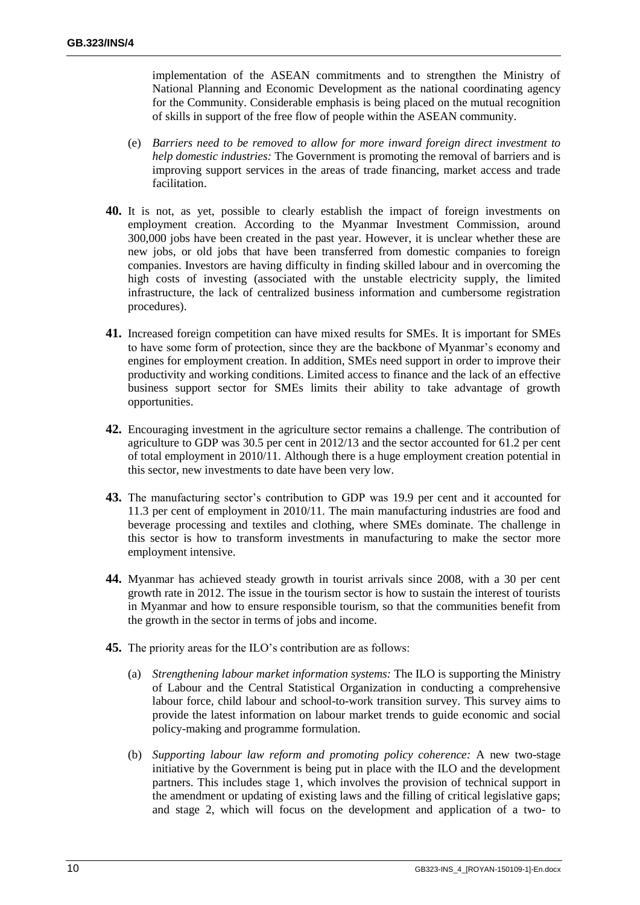implementation of the ASEAN commitments and to strengthen the Ministry of National Planning and Economic Development as the national coordinating agency for the Community. Considerable emphasis is being placed on the mutual recognition of skills in support of the free flow of people within the ASEAN community.

- (e) *Barriers need to be removed to allow for more inward foreign direct investment to help domestic industries:* The Government is promoting the removal of barriers and is improving support services in the areas of trade financing, market access and trade facilitation.
- **40.** It is not, as yet, possible to clearly establish the impact of foreign investments on employment creation. According to the Myanmar Investment Commission, around 300,000 jobs have been created in the past year. However, it is unclear whether these are new jobs, or old jobs that have been transferred from domestic companies to foreign companies. Investors are having difficulty in finding skilled labour and in overcoming the high costs of investing (associated with the unstable electricity supply, the limited infrastructure, the lack of centralized business information and cumbersome registration procedures).
- **41.** Increased foreign competition can have mixed results for SMEs. It is important for SMEs to have some form of protection, since they are the backbone of Myanmar's economy and engines for employment creation. In addition, SMEs need support in order to improve their productivity and working conditions. Limited access to finance and the lack of an effective business support sector for SMEs limits their ability to take advantage of growth opportunities.
- **42.** Encouraging investment in the agriculture sector remains a challenge. The contribution of agriculture to GDP was 30.5 per cent in 2012/13 and the sector accounted for 61.2 per cent of total employment in 2010/11. Although there is a huge employment creation potential in this sector, new investments to date have been very low.
- **43.** The manufacturing sector's contribution to GDP was 19.9 per cent and it accounted for 11.3 per cent of employment in 2010/11. The main manufacturing industries are food and beverage processing and textiles and clothing, where SMEs dominate. The challenge in this sector is how to transform investments in manufacturing to make the sector more employment intensive.
- **44.** Myanmar has achieved steady growth in tourist arrivals since 2008, with a 30 per cent growth rate in 2012. The issue in the tourism sector is how to sustain the interest of tourists in Myanmar and how to ensure responsible tourism, so that the communities benefit from the growth in the sector in terms of jobs and income.
- **45.** The priority areas for the ILO's contribution are as follows:
	- (a) *Strengthening labour market information systems:* The ILO is supporting the Ministry of Labour and the Central Statistical Organization in conducting a comprehensive labour force, child labour and school-to-work transition survey. This survey aims to provide the latest information on labour market trends to guide economic and social policy-making and programme formulation.
	- (b) *Supporting labour law reform and promoting policy coherence:* A new two-stage initiative by the Government is being put in place with the ILO and the development partners. This includes stage 1, which involves the provision of technical support in the amendment or updating of existing laws and the filling of critical legislative gaps; and stage 2, which will focus on the development and application of a two- to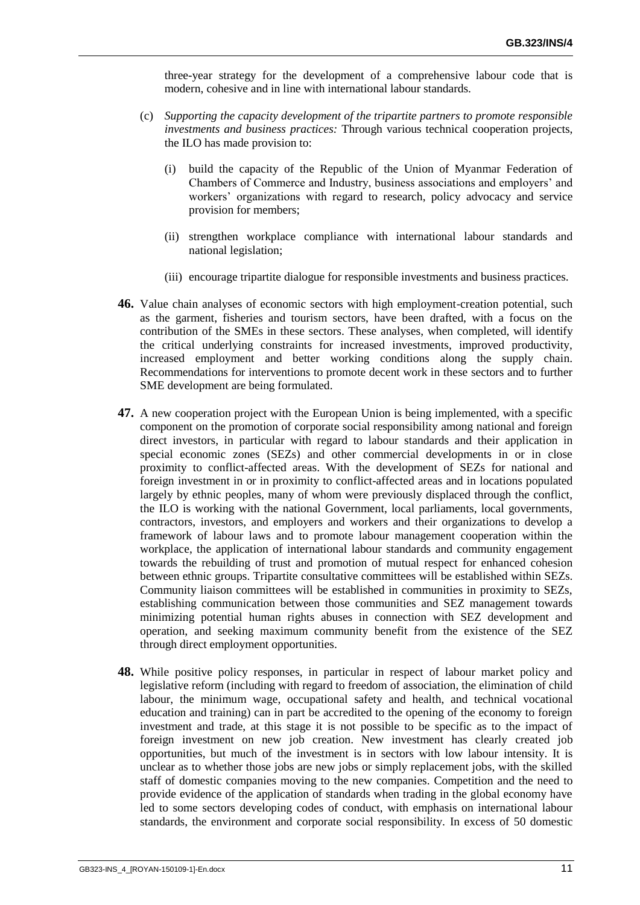three-year strategy for the development of a comprehensive labour code that is modern, cohesive and in line with international labour standards.

- (c) *Supporting the capacity development of the tripartite partners to promote responsible investments and business practices:* Through various technical cooperation projects, the ILO has made provision to:
	- (i) build the capacity of the Republic of the Union of Myanmar Federation of Chambers of Commerce and Industry, business associations and employers' and workers' organizations with regard to research, policy advocacy and service provision for members;
	- (ii) strengthen workplace compliance with international labour standards and national legislation;
	- (iii) encourage tripartite dialogue for responsible investments and business practices.
- **46.** Value chain analyses of economic sectors with high employment-creation potential, such as the garment, fisheries and tourism sectors, have been drafted, with a focus on the contribution of the SMEs in these sectors. These analyses, when completed, will identify the critical underlying constraints for increased investments, improved productivity, increased employment and better working conditions along the supply chain. Recommendations for interventions to promote decent work in these sectors and to further SME development are being formulated.
- **47.** A new cooperation project with the European Union is being implemented, with a specific component on the promotion of corporate social responsibility among national and foreign direct investors, in particular with regard to labour standards and their application in special economic zones (SEZs) and other commercial developments in or in close proximity to conflict-affected areas. With the development of SEZs for national and foreign investment in or in proximity to conflict-affected areas and in locations populated largely by ethnic peoples, many of whom were previously displaced through the conflict, the ILO is working with the national Government, local parliaments, local governments, contractors, investors, and employers and workers and their organizations to develop a framework of labour laws and to promote labour management cooperation within the workplace, the application of international labour standards and community engagement towards the rebuilding of trust and promotion of mutual respect for enhanced cohesion between ethnic groups. Tripartite consultative committees will be established within SEZs. Community liaison committees will be established in communities in proximity to SEZs, establishing communication between those communities and SEZ management towards minimizing potential human rights abuses in connection with SEZ development and operation, and seeking maximum community benefit from the existence of the SEZ through direct employment opportunities.
- **48.** While positive policy responses, in particular in respect of labour market policy and legislative reform (including with regard to freedom of association, the elimination of child labour, the minimum wage, occupational safety and health, and technical vocational education and training) can in part be accredited to the opening of the economy to foreign investment and trade, at this stage it is not possible to be specific as to the impact of foreign investment on new job creation. New investment has clearly created job opportunities, but much of the investment is in sectors with low labour intensity. It is unclear as to whether those jobs are new jobs or simply replacement jobs, with the skilled staff of domestic companies moving to the new companies. Competition and the need to provide evidence of the application of standards when trading in the global economy have led to some sectors developing codes of conduct, with emphasis on international labour standards, the environment and corporate social responsibility. In excess of 50 domestic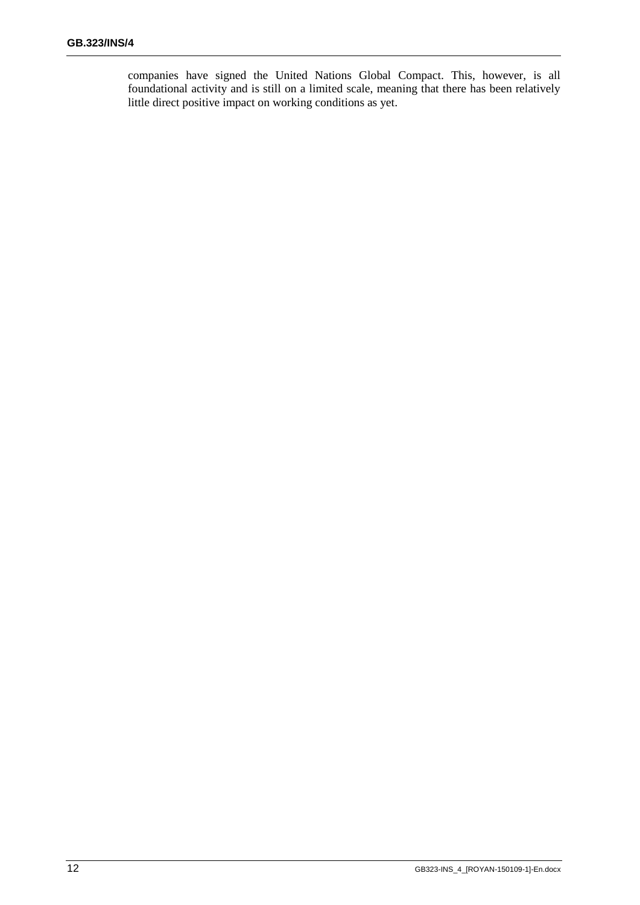companies have signed the United Nations Global Compact. This, however, is all foundational activity and is still on a limited scale, meaning that there has been relatively little direct positive impact on working conditions as yet.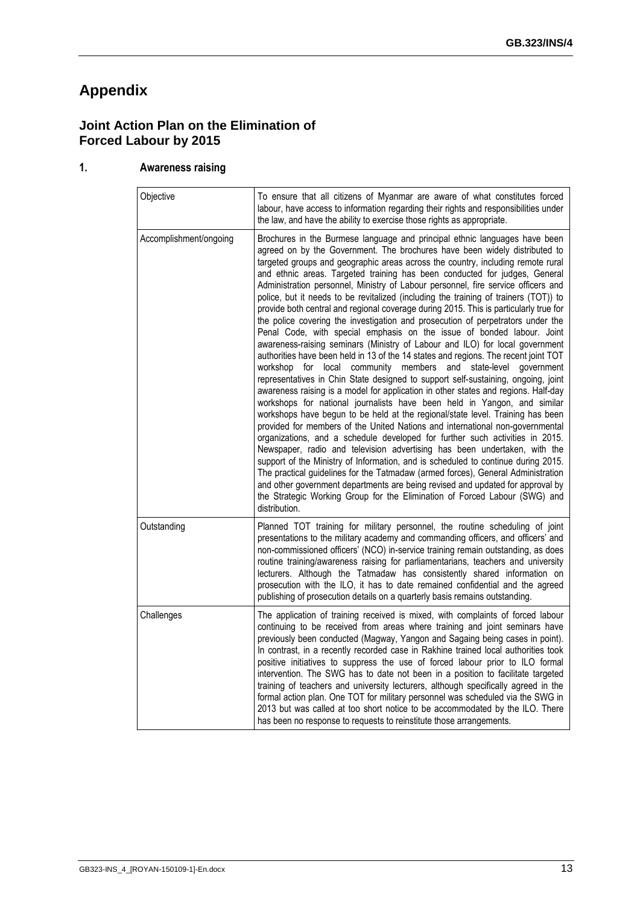# **Appendix**

# **Joint Action Plan on the Elimination of Forced Labour by 2015**

### **1. Awareness raising**

| Objective              | To ensure that all citizens of Myanmar are aware of what constitutes forced<br>labour, have access to information regarding their rights and responsibilities under<br>the law, and have the ability to exercise those rights as appropriate.                                                                                                                                                                                                                                                                                                                                                                                                                                                                                                                                                                                                                                                                                                                                                                                                                                                                                                                                                                                                                                                                                                                                                                                                                                                                                                                                                                                                                                                                                                                                                                                                                                                                                                           |
|------------------------|---------------------------------------------------------------------------------------------------------------------------------------------------------------------------------------------------------------------------------------------------------------------------------------------------------------------------------------------------------------------------------------------------------------------------------------------------------------------------------------------------------------------------------------------------------------------------------------------------------------------------------------------------------------------------------------------------------------------------------------------------------------------------------------------------------------------------------------------------------------------------------------------------------------------------------------------------------------------------------------------------------------------------------------------------------------------------------------------------------------------------------------------------------------------------------------------------------------------------------------------------------------------------------------------------------------------------------------------------------------------------------------------------------------------------------------------------------------------------------------------------------------------------------------------------------------------------------------------------------------------------------------------------------------------------------------------------------------------------------------------------------------------------------------------------------------------------------------------------------------------------------------------------------------------------------------------------------|
| Accomplishment/ongoing | Brochures in the Burmese language and principal ethnic languages have been<br>agreed on by the Government. The brochures have been widely distributed to<br>targeted groups and geographic areas across the country, including remote rural<br>and ethnic areas. Targeted training has been conducted for judges, General<br>Administration personnel, Ministry of Labour personnel, fire service officers and<br>police, but it needs to be revitalized (including the training of trainers (TOT)) to<br>provide both central and regional coverage during 2015. This is particularly true for<br>the police covering the investigation and prosecution of perpetrators under the<br>Penal Code, with special emphasis on the issue of bonded labour. Joint<br>awareness-raising seminars (Ministry of Labour and ILO) for local government<br>authorities have been held in 13 of the 14 states and regions. The recent joint TOT<br>workshop for local community members and state-level government<br>representatives in Chin State designed to support self-sustaining, ongoing, joint<br>awareness raising is a model for application in other states and regions. Half-day<br>workshops for national journalists have been held in Yangon, and similar<br>workshops have begun to be held at the regional/state level. Training has been<br>provided for members of the United Nations and international non-governmental<br>organizations, and a schedule developed for further such activities in 2015.<br>Newspaper, radio and television advertising has been undertaken, with the<br>support of the Ministry of Information, and is scheduled to continue during 2015.<br>The practical guidelines for the Tatmadaw (armed forces), General Administration<br>and other government departments are being revised and updated for approval by<br>the Strategic Working Group for the Elimination of Forced Labour (SWG) and<br>distribution. |
| Outstanding            | Planned TOT training for military personnel, the routine scheduling of joint<br>presentations to the military academy and commanding officers, and officers' and<br>non-commissioned officers' (NCO) in-service training remain outstanding, as does<br>routine training/awareness raising for parliamentarians, teachers and university<br>lecturers. Although the Tatmadaw has consistently shared information on<br>prosecution with the ILO, it has to date remained confidential and the agreed<br>publishing of prosecution details on a quarterly basis remains outstanding.                                                                                                                                                                                                                                                                                                                                                                                                                                                                                                                                                                                                                                                                                                                                                                                                                                                                                                                                                                                                                                                                                                                                                                                                                                                                                                                                                                     |
| Challenges             | The application of training received is mixed, with complaints of forced labour<br>continuing to be received from areas where training and joint seminars have<br>previously been conducted (Magway, Yangon and Sagaing being cases in point).<br>In contrast, in a recently recorded case in Rakhine trained local authorities took<br>positive initiatives to suppress the use of forced labour prior to ILO formal<br>intervention. The SWG has to date not been in a position to facilitate targeted<br>training of teachers and university lecturers, although specifically agreed in the<br>formal action plan. One TOT for military personnel was scheduled via the SWG in<br>2013 but was called at too short notice to be accommodated by the ILO. There<br>has been no response to requests to reinstitute those arrangements.                                                                                                                                                                                                                                                                                                                                                                                                                                                                                                                                                                                                                                                                                                                                                                                                                                                                                                                                                                                                                                                                                                                |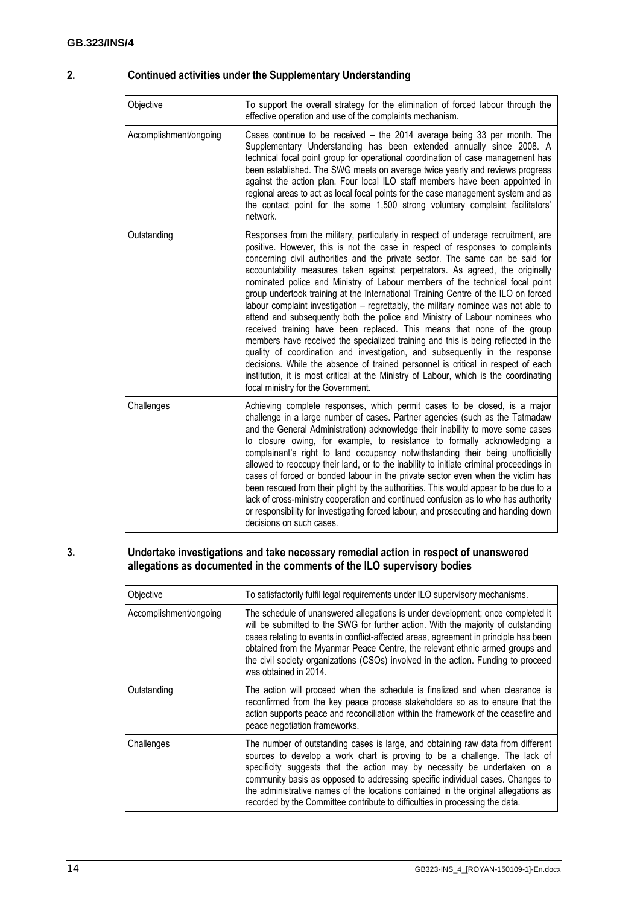#### **2. Continued activities under the Supplementary Understanding**

| Objective              | To support the overall strategy for the elimination of forced labour through the<br>effective operation and use of the complaints mechanism.                                                                                                                                                                                                                                                                                                                                                                                                                                                                                                                                                                                                                                                                                                                                                                                                                                                                                                                                                                                                      |
|------------------------|---------------------------------------------------------------------------------------------------------------------------------------------------------------------------------------------------------------------------------------------------------------------------------------------------------------------------------------------------------------------------------------------------------------------------------------------------------------------------------------------------------------------------------------------------------------------------------------------------------------------------------------------------------------------------------------------------------------------------------------------------------------------------------------------------------------------------------------------------------------------------------------------------------------------------------------------------------------------------------------------------------------------------------------------------------------------------------------------------------------------------------------------------|
| Accomplishment/ongoing | Cases continue to be received - the 2014 average being 33 per month. The<br>Supplementary Understanding has been extended annually since 2008. A<br>technical focal point group for operational coordination of case management has<br>been established. The SWG meets on average twice yearly and reviews progress<br>against the action plan. Four local ILO staff members have been appointed in<br>regional areas to act as local focal points for the case management system and as<br>the contact point for the some 1,500 strong voluntary complaint facilitators'<br>network.                                                                                                                                                                                                                                                                                                                                                                                                                                                                                                                                                             |
| Outstanding            | Responses from the military, particularly in respect of underage recruitment, are<br>positive. However, this is not the case in respect of responses to complaints<br>concerning civil authorities and the private sector. The same can be said for<br>accountability measures taken against perpetrators. As agreed, the originally<br>nominated police and Ministry of Labour members of the technical focal point<br>group undertook training at the International Training Centre of the ILO on forced<br>labour complaint investigation – regrettably, the military nominee was not able to<br>attend and subsequently both the police and Ministry of Labour nominees who<br>received training have been replaced. This means that none of the group<br>members have received the specialized training and this is being reflected in the<br>quality of coordination and investigation, and subsequently in the response<br>decisions. While the absence of trained personnel is critical in respect of each<br>institution, it is most critical at the Ministry of Labour, which is the coordinating<br>focal ministry for the Government. |
| Challenges             | Achieving complete responses, which permit cases to be closed, is a major<br>challenge in a large number of cases. Partner agencies (such as the Tatmadaw<br>and the General Administration) acknowledge their inability to move some cases<br>to closure owing, for example, to resistance to formally acknowledging a<br>complainant's right to land occupancy notwithstanding their being unofficially<br>allowed to reoccupy their land, or to the inability to initiate criminal proceedings in<br>cases of forced or bonded labour in the private sector even when the victim has<br>been rescued from their plight by the authorities. This would appear to be due to a<br>lack of cross-ministry cooperation and continued confusion as to who has authority<br>or responsibility for investigating forced labour, and prosecuting and handing down<br>decisions on such cases.                                                                                                                                                                                                                                                           |

#### **3. Undertake investigations and take necessary remedial action in respect of unanswered allegations as documented in the comments of the ILO supervisory bodies**

| Objective              | To satisfactorily fulfil legal requirements under ILO supervisory mechanisms.                                                                                                                                                                                                                                                                                                                                                                                                                    |
|------------------------|--------------------------------------------------------------------------------------------------------------------------------------------------------------------------------------------------------------------------------------------------------------------------------------------------------------------------------------------------------------------------------------------------------------------------------------------------------------------------------------------------|
| Accomplishment/ongoing | The schedule of unanswered allegations is under development; once completed it<br>will be submitted to the SWG for further action. With the majority of outstanding<br>cases relating to events in conflict-affected areas, agreement in principle has been<br>obtained from the Myanmar Peace Centre, the relevant ethnic armed groups and<br>the civil society organizations (CSOs) involved in the action. Funding to proceed<br>was obtained in 2014.                                        |
| Outstanding            | The action will proceed when the schedule is finalized and when clearance is<br>reconfirmed from the key peace process stakeholders so as to ensure that the<br>action supports peace and reconciliation within the framework of the ceasefire and<br>peace negotiation frameworks.                                                                                                                                                                                                              |
| Challenges             | The number of outstanding cases is large, and obtaining raw data from different<br>sources to develop a work chart is proving to be a challenge. The lack of<br>specificity suggests that the action may by necessity be undertaken on a<br>community basis as opposed to addressing specific individual cases. Changes to<br>the administrative names of the locations contained in the original allegations as<br>recorded by the Committee contribute to difficulties in processing the data. |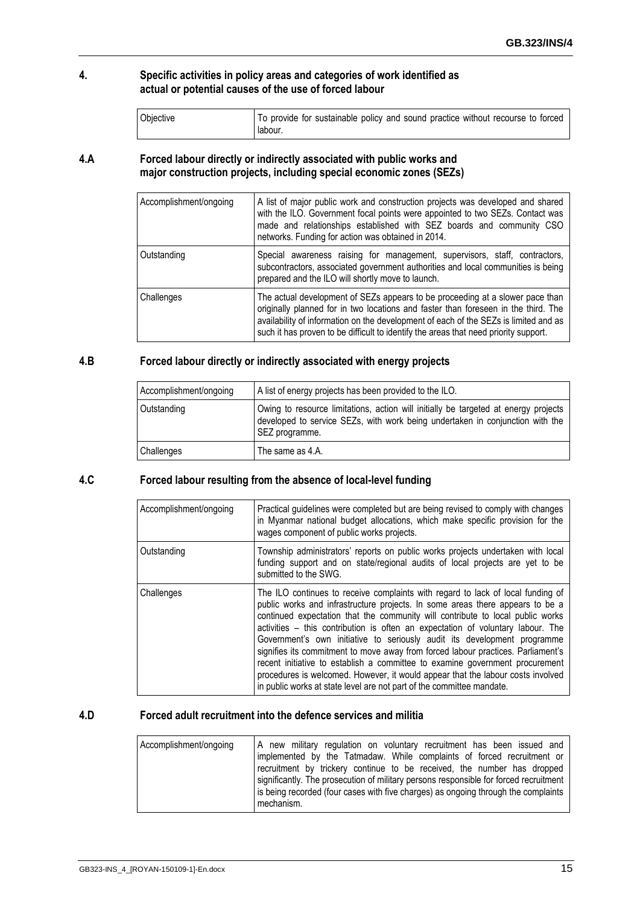#### **4. Specific activities in policy areas and categories of work identified as actual or potential causes of the use of forced labour**

| Objective | To provide for sustainable policy and sound practice without recourse to forced |
|-----------|---------------------------------------------------------------------------------|
|           | labour.                                                                         |

#### **4.A Forced labour directly or indirectly associated with public works and major construction projects, including special economic zones (SEZs)**

| Accomplishment/ongoing | A list of major public work and construction projects was developed and shared<br>with the ILO. Government focal points were appointed to two SEZs. Contact was<br>made and relationships established with SEZ boards and community CSO<br>networks. Funding for action was obtained in 2014.                                                       |
|------------------------|-----------------------------------------------------------------------------------------------------------------------------------------------------------------------------------------------------------------------------------------------------------------------------------------------------------------------------------------------------|
| Outstanding            | Special awareness raising for management, supervisors, staff, contractors,<br>subcontractors, associated government authorities and local communities is being<br>prepared and the ILO will shortly move to launch.                                                                                                                                 |
| Challenges             | The actual development of SEZs appears to be proceeding at a slower pace than<br>originally planned for in two locations and faster than foreseen in the third. The<br>availability of information on the development of each of the SEZs is limited and as<br>such it has proven to be difficult to identify the areas that need priority support. |

#### **4.B Forced labour directly or indirectly associated with energy projects**

| Accomplishment/ongoing | A list of energy projects has been provided to the ILO.                                                                                                                                |
|------------------------|----------------------------------------------------------------------------------------------------------------------------------------------------------------------------------------|
| Outstanding            | Owing to resource limitations, action will initially be targeted at energy projects<br>developed to service SEZs, with work being undertaken in conjunction with the<br>SEZ programme. |
| Challenges             | The same as 4.A.                                                                                                                                                                       |

#### **4.C Forced labour resulting from the absence of local-level funding**

| Accomplishment/ongoing | Practical quidelines were completed but are being revised to comply with changes<br>in Myanmar national budget allocations, which make specific provision for the<br>wages component of public works projects.                                                                                                                                                                                                                                                                                                                                                                                                                                                                                                                                    |
|------------------------|---------------------------------------------------------------------------------------------------------------------------------------------------------------------------------------------------------------------------------------------------------------------------------------------------------------------------------------------------------------------------------------------------------------------------------------------------------------------------------------------------------------------------------------------------------------------------------------------------------------------------------------------------------------------------------------------------------------------------------------------------|
| Outstanding            | Township administrators' reports on public works projects undertaken with local<br>funding support and on state/regional audits of local projects are yet to be<br>submitted to the SWG.                                                                                                                                                                                                                                                                                                                                                                                                                                                                                                                                                          |
| Challenges             | The ILO continues to receive complaints with regard to lack of local funding of<br>public works and infrastructure projects. In some areas there appears to be a<br>continued expectation that the community will contribute to local public works<br>activities – this contribution is often an expectation of voluntary labour. The<br>Government's own initiative to seriously audit its development programme<br>signifies its commitment to move away from forced labour practices. Parliament's<br>recent initiative to establish a committee to examine government procurement<br>procedures is welcomed. However, it would appear that the labour costs involved<br>in public works at state level are not part of the committee mandate. |

#### **4.D Forced adult recruitment into the defence services and militia**

| Accomplishment/ongoing | A new military regulation on voluntary recruitment has been issued and                |
|------------------------|---------------------------------------------------------------------------------------|
|                        | implemented by the Tatmadaw. While complaints of forced recruitment or                |
|                        | recruitment by trickery continue to be received, the number has dropped               |
|                        | significantly. The prosecution of military persons responsible for forced recruitment |
|                        | is being recorded (four cases with five charges) as ongoing through the complaints    |
|                        | mechanism.                                                                            |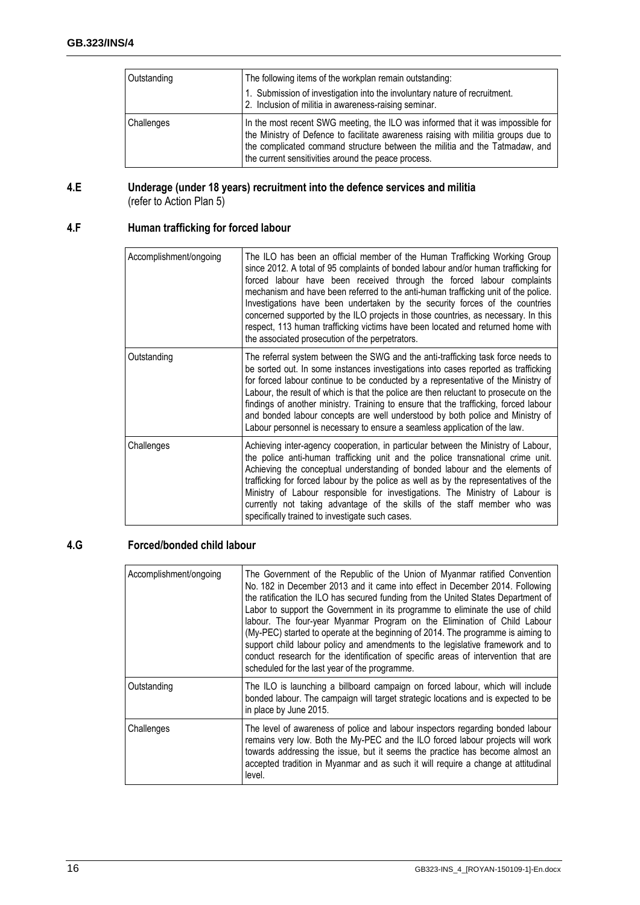| Outstanding | The following items of the workplan remain outstanding:<br>1. Submission of investigation into the involuntary nature of recruitment.<br>2. Inclusion of militia in awareness-raising seminar.                                                                                                              |
|-------------|-------------------------------------------------------------------------------------------------------------------------------------------------------------------------------------------------------------------------------------------------------------------------------------------------------------|
| Challenges  | In the most recent SWG meeting, the ILO was informed that it was impossible for<br>the Ministry of Defence to facilitate awareness raising with militia groups due to<br>the complicated command structure between the militia and the Tatmadaw, and<br>the current sensitivities around the peace process. |

#### **4.E Underage (under 18 years) recruitment into the defence services and militia**  (refer to Action Plan 5)

# **4.F Human trafficking for forced labour**

| Accomplishment/ongoing | The ILO has been an official member of the Human Trafficking Working Group<br>since 2012. A total of 95 complaints of bonded labour and/or human trafficking for<br>forced labour have been received through the forced labour complaints<br>mechanism and have been referred to the anti-human trafficking unit of the police.<br>Investigations have been undertaken by the security forces of the countries<br>concerned supported by the ILO projects in those countries, as necessary. In this<br>respect, 113 human trafficking victims have been located and returned home with<br>the associated prosecution of the perpetrators. |
|------------------------|-------------------------------------------------------------------------------------------------------------------------------------------------------------------------------------------------------------------------------------------------------------------------------------------------------------------------------------------------------------------------------------------------------------------------------------------------------------------------------------------------------------------------------------------------------------------------------------------------------------------------------------------|
| Outstanding            | The referral system between the SWG and the anti-trafficking task force needs to<br>be sorted out. In some instances investigations into cases reported as trafficking<br>for forced labour continue to be conducted by a representative of the Ministry of<br>Labour, the result of which is that the police are then reluctant to prosecute on the<br>findings of another ministry. Training to ensure that the trafficking, forced labour<br>and bonded labour concepts are well understood by both police and Ministry of<br>Labour personnel is necessary to ensure a seamless application of the law.                               |
| Challenges             | Achieving inter-agency cooperation, in particular between the Ministry of Labour,<br>the police anti-human trafficking unit and the police transnational crime unit.<br>Achieving the conceptual understanding of bonded labour and the elements of<br>trafficking for forced labour by the police as well as by the representatives of the<br>Ministry of Labour responsible for investigations. The Ministry of Labour is<br>currently not taking advantage of the skills of the staff member who was<br>specifically trained to investigate such cases.                                                                                |

#### **4.G Forced/bonded child labour**

| Accomplishment/ongoing | The Government of the Republic of the Union of Myanmar ratified Convention<br>No. 182 in December 2013 and it came into effect in December 2014. Following<br>the ratification the ILO has secured funding from the United States Department of<br>Labor to support the Government in its programme to eliminate the use of child<br>labour. The four-year Myanmar Program on the Elimination of Child Labour<br>(My-PEC) started to operate at the beginning of 2014. The programme is aiming to<br>support child labour policy and amendments to the legislative framework and to<br>conduct research for the identification of specific areas of intervention that are<br>scheduled for the last year of the programme. |
|------------------------|----------------------------------------------------------------------------------------------------------------------------------------------------------------------------------------------------------------------------------------------------------------------------------------------------------------------------------------------------------------------------------------------------------------------------------------------------------------------------------------------------------------------------------------------------------------------------------------------------------------------------------------------------------------------------------------------------------------------------|
| Outstanding            | The ILO is launching a billboard campaign on forced labour, which will include<br>bonded labour. The campaign will target strategic locations and is expected to be<br>in place by June 2015.                                                                                                                                                                                                                                                                                                                                                                                                                                                                                                                              |
| Challenges             | The level of awareness of police and labour inspectors regarding bonded labour<br>remains very low. Both the My-PEC and the ILO forced labour projects will work<br>towards addressing the issue, but it seems the practice has become almost an<br>accepted tradition in Myanmar and as such it will require a change at attitudinal<br>level.                                                                                                                                                                                                                                                                                                                                                                            |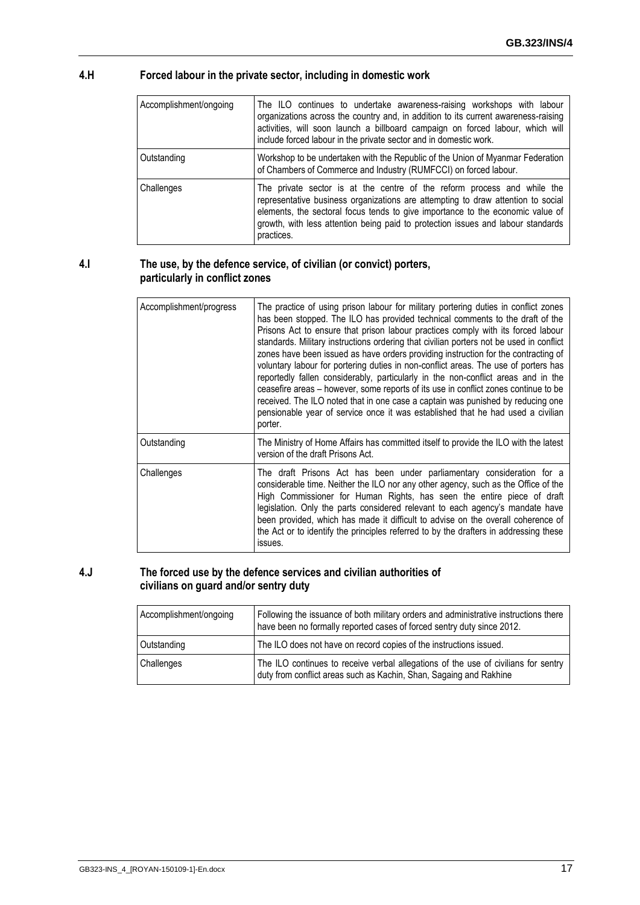#### **4.H Forced labour in the private sector, including in domestic work**

| Accomplishment/ongoing | The ILO continues to undertake awareness-raising workshops with labour<br>organizations across the country and, in addition to its current awareness-raising<br>activities, will soon launch a billboard campaign on forced labour, which will<br>include forced labour in the private sector and in domestic work.                             |
|------------------------|-------------------------------------------------------------------------------------------------------------------------------------------------------------------------------------------------------------------------------------------------------------------------------------------------------------------------------------------------|
| Outstanding            | Workshop to be undertaken with the Republic of the Union of Myanmar Federation<br>of Chambers of Commerce and Industry (RUMFCCI) on forced labour.                                                                                                                                                                                              |
| Challenges             | The private sector is at the centre of the reform process and while the<br>representative business organizations are attempting to draw attention to social<br>elements, the sectoral focus tends to give importance to the economic value of<br>growth, with less attention being paid to protection issues and labour standards<br>practices. |

#### **4.I The use, by the defence service, of civilian (or convict) porters, particularly in conflict zones**

| Accomplishment/progress | The practice of using prison labour for military portering duties in conflict zones<br>has been stopped. The ILO has provided technical comments to the draft of the<br>Prisons Act to ensure that prison labour practices comply with its forced labour<br>standards. Military instructions ordering that civilian porters not be used in conflict<br>zones have been issued as have orders providing instruction for the contracting of<br>voluntary labour for portering duties in non-conflict areas. The use of porters has<br>reportedly fallen considerably, particularly in the non-conflict areas and in the<br>ceasefire areas - however, some reports of its use in conflict zones continue to be<br>received. The ILO noted that in one case a captain was punished by reducing one<br>pensionable year of service once it was established that he had used a civilian<br>porter. |
|-------------------------|-----------------------------------------------------------------------------------------------------------------------------------------------------------------------------------------------------------------------------------------------------------------------------------------------------------------------------------------------------------------------------------------------------------------------------------------------------------------------------------------------------------------------------------------------------------------------------------------------------------------------------------------------------------------------------------------------------------------------------------------------------------------------------------------------------------------------------------------------------------------------------------------------|
| Outstanding             | The Ministry of Home Affairs has committed itself to provide the ILO with the latest<br>version of the draft Prisons Act.                                                                                                                                                                                                                                                                                                                                                                                                                                                                                                                                                                                                                                                                                                                                                                     |
| Challenges              | The draft Prisons Act has been under parliamentary consideration for a<br>considerable time. Neither the ILO nor any other agency, such as the Office of the<br>High Commissioner for Human Rights, has seen the entire piece of draft<br>legislation. Only the parts considered relevant to each agency's mandate have<br>been provided, which has made it difficult to advise on the overall coherence of<br>the Act or to identify the principles referred to by the drafters in addressing these<br>issues.                                                                                                                                                                                                                                                                                                                                                                               |

#### **4.J The forced use by the defence services and civilian authorities of civilians on guard and/or sentry duty**

| Accomplishment/ongoing | Following the issuance of both military orders and administrative instructions there<br>have been no formally reported cases of forced sentry duty since 2012. |
|------------------------|----------------------------------------------------------------------------------------------------------------------------------------------------------------|
| Outstanding            | The ILO does not have on record copies of the instructions issued.                                                                                             |
| Challenges             | The ILO continues to receive verbal allegations of the use of civilians for sentry<br>duty from conflict areas such as Kachin, Shan, Sagaing and Rakhine       |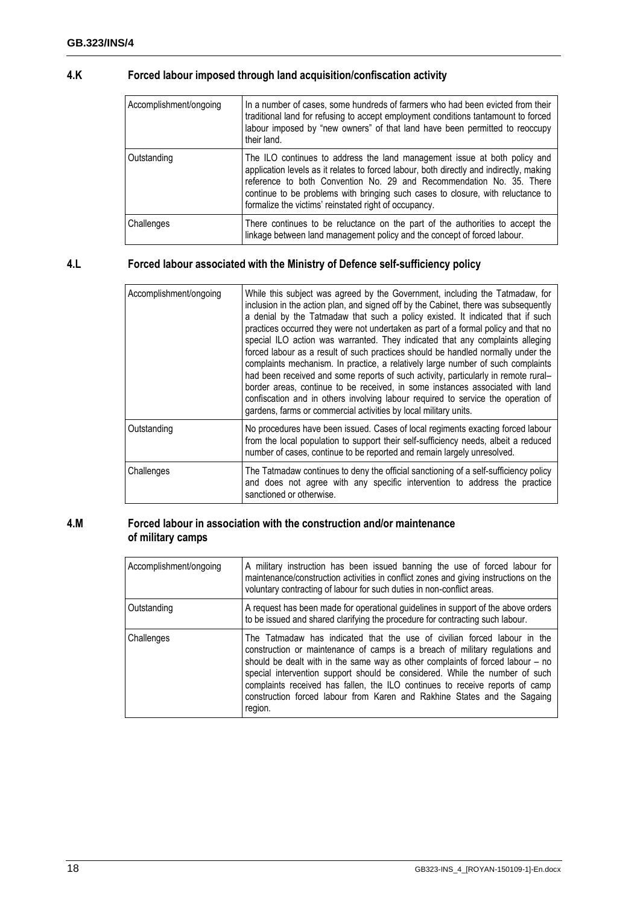### **4.K Forced labour imposed through land acquisition/confiscation activity**

| Accomplishment/ongoing | In a number of cases, some hundreds of farmers who had been evicted from their<br>traditional land for refusing to accept employment conditions tantamount to forced<br>labour imposed by "new owners" of that land have been permitted to reoccupy<br>their land.                                                                                                                       |
|------------------------|------------------------------------------------------------------------------------------------------------------------------------------------------------------------------------------------------------------------------------------------------------------------------------------------------------------------------------------------------------------------------------------|
| Outstanding            | The ILO continues to address the land management issue at both policy and<br>application levels as it relates to forced labour, both directly and indirectly, making<br>reference to both Convention No. 29 and Recommendation No. 35. There<br>continue to be problems with bringing such cases to closure, with reluctance to<br>formalize the victims' reinstated right of occupancy. |
| Challenges             | There continues to be reluctance on the part of the authorities to accept the<br>linkage between land management policy and the concept of forced labour.                                                                                                                                                                                                                                |

#### **4.L Forced labour associated with the Ministry of Defence self-sufficiency policy**

| Accomplishment/ongoing | While this subject was agreed by the Government, including the Tatmadaw, for<br>inclusion in the action plan, and signed off by the Cabinet, there was subsequently<br>a denial by the Tatmadaw that such a policy existed. It indicated that if such<br>practices occurred they were not undertaken as part of a formal policy and that no<br>special ILO action was warranted. They indicated that any complaints alleging<br>forced labour as a result of such practices should be handled normally under the<br>complaints mechanism. In practice, a relatively large number of such complaints<br>had been received and some reports of such activity, particularly in remote rural-<br>border areas, continue to be received, in some instances associated with land<br>confiscation and in others involving labour required to service the operation of<br>gardens, farms or commercial activities by local military units. |
|------------------------|------------------------------------------------------------------------------------------------------------------------------------------------------------------------------------------------------------------------------------------------------------------------------------------------------------------------------------------------------------------------------------------------------------------------------------------------------------------------------------------------------------------------------------------------------------------------------------------------------------------------------------------------------------------------------------------------------------------------------------------------------------------------------------------------------------------------------------------------------------------------------------------------------------------------------------|
| Outstanding            | No procedures have been issued. Cases of local regiments exacting forced labour<br>from the local population to support their self-sufficiency needs, albeit a reduced<br>number of cases, continue to be reported and remain largely unresolved.                                                                                                                                                                                                                                                                                                                                                                                                                                                                                                                                                                                                                                                                                  |
| Challenges             | The Tatmadaw continues to deny the official sanctioning of a self-sufficiency policy<br>and does not agree with any specific intervention to address the practice<br>sanctioned or otherwise.                                                                                                                                                                                                                                                                                                                                                                                                                                                                                                                                                                                                                                                                                                                                      |

#### **4.M Forced labour in association with the construction and/or maintenance of military camps**

| Accomplishment/ongoing | A military instruction has been issued banning the use of forced labour for<br>maintenance/construction activities in conflict zones and giving instructions on the<br>voluntary contracting of labour for such duties in non-conflict areas.                                                                                                                                                                                                                                                    |
|------------------------|--------------------------------------------------------------------------------------------------------------------------------------------------------------------------------------------------------------------------------------------------------------------------------------------------------------------------------------------------------------------------------------------------------------------------------------------------------------------------------------------------|
| Outstanding            | A request has been made for operational guidelines in support of the above orders<br>to be issued and shared clarifying the procedure for contracting such labour.                                                                                                                                                                                                                                                                                                                               |
| Challenges             | The Tatmadaw has indicated that the use of civilian forced labour in the<br>construction or maintenance of camps is a breach of military regulations and<br>should be dealt with in the same way as other complaints of forced labour – no<br>special intervention support should be considered. While the number of such<br>complaints received has fallen, the ILO continues to receive reports of camp<br>construction forced labour from Karen and Rakhine States and the Sagaing<br>region. |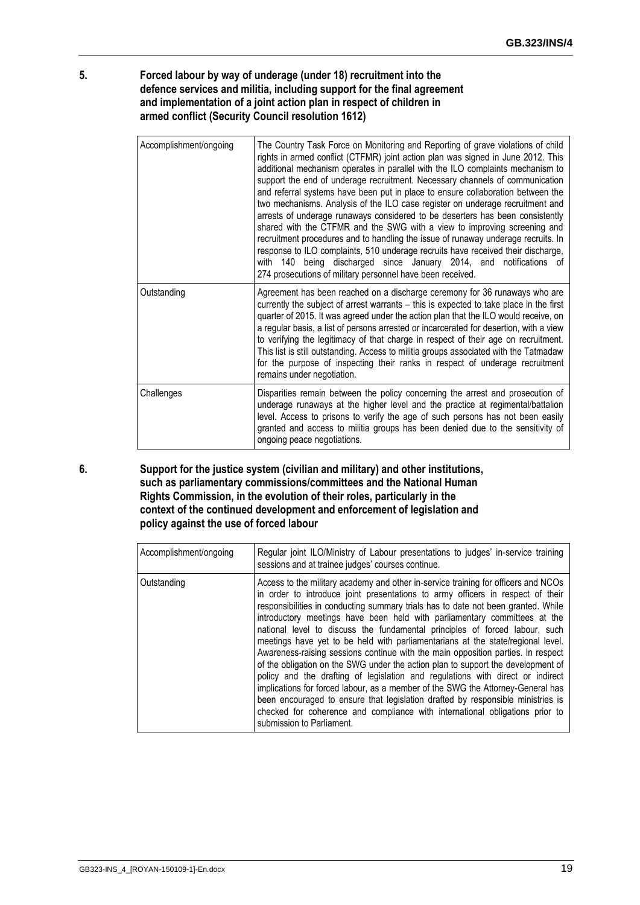#### **5. Forced labour by way of underage (under 18) recruitment into the defence services and militia, including support for the final agreement and implementation of a joint action plan in respect of children in armed conflict (Security Council resolution 1612)**

| Accomplishment/ongoing | The Country Task Force on Monitoring and Reporting of grave violations of child<br>rights in armed conflict (CTFMR) joint action plan was signed in June 2012. This<br>additional mechanism operates in parallel with the ILO complaints mechanism to<br>support the end of underage recruitment. Necessary channels of communication<br>and referral systems have been put in place to ensure collaboration between the<br>two mechanisms. Analysis of the ILO case register on underage recruitment and<br>arrests of underage runaways considered to be deserters has been consistently<br>shared with the CTFMR and the SWG with a view to improving screening and<br>recruitment procedures and to handling the issue of runaway underage recruits. In<br>response to ILO complaints, 510 underage recruits have received their discharge,<br>with 140 being discharged since January 2014, and notifications of<br>274 prosecutions of military personnel have been received. |
|------------------------|-------------------------------------------------------------------------------------------------------------------------------------------------------------------------------------------------------------------------------------------------------------------------------------------------------------------------------------------------------------------------------------------------------------------------------------------------------------------------------------------------------------------------------------------------------------------------------------------------------------------------------------------------------------------------------------------------------------------------------------------------------------------------------------------------------------------------------------------------------------------------------------------------------------------------------------------------------------------------------------|
| Outstanding            | Agreement has been reached on a discharge ceremony for 36 runaways who are<br>currently the subject of arrest warrants - this is expected to take place in the first<br>quarter of 2015. It was agreed under the action plan that the ILO would receive, on<br>a regular basis, a list of persons arrested or incarcerated for desertion, with a view<br>to verifying the legitimacy of that charge in respect of their age on recruitment.<br>This list is still outstanding. Access to militia groups associated with the Tatmadaw<br>for the purpose of inspecting their ranks in respect of underage recruitment<br>remains under negotiation.                                                                                                                                                                                                                                                                                                                                  |
| Challenges             | Disparities remain between the policy concerning the arrest and prosecution of<br>underage runaways at the higher level and the practice at regimental/battalion<br>level. Access to prisons to verify the age of such persons has not been easily<br>granted and access to militia groups has been denied due to the sensitivity of<br>ongoing peace negotiations.                                                                                                                                                                                                                                                                                                                                                                                                                                                                                                                                                                                                                 |

**6. Support for the justice system (civilian and military) and other institutions, such as parliamentary commissions/committees and the National Human Rights Commission, in the evolution of their roles, particularly in the context of the continued development and enforcement of legislation and policy against the use of forced labour**

| Accomplishment/ongoing | Regular joint ILO/Ministry of Labour presentations to judges' in-service training<br>sessions and at trainee judges' courses continue.                                                                                                                                                                                                                                                                                                                                                                                                                                                                                                                                                                                                                                                                                                                                                                                                                                                                                                                |
|------------------------|-------------------------------------------------------------------------------------------------------------------------------------------------------------------------------------------------------------------------------------------------------------------------------------------------------------------------------------------------------------------------------------------------------------------------------------------------------------------------------------------------------------------------------------------------------------------------------------------------------------------------------------------------------------------------------------------------------------------------------------------------------------------------------------------------------------------------------------------------------------------------------------------------------------------------------------------------------------------------------------------------------------------------------------------------------|
| Outstanding            | Access to the military academy and other in-service training for officers and NCOs<br>in order to introduce joint presentations to army officers in respect of their<br>responsibilities in conducting summary trials has to date not been granted. While<br>introductory meetings have been held with parliamentary committees at the<br>national level to discuss the fundamental principles of forced labour, such<br>meetings have yet to be held with parliamentarians at the state/regional level.<br>Awareness-raising sessions continue with the main opposition parties. In respect<br>of the obligation on the SWG under the action plan to support the development of<br>policy and the drafting of legislation and regulations with direct or indirect<br>implications for forced labour, as a member of the SWG the Attorney-General has<br>been encouraged to ensure that legislation drafted by responsible ministries is<br>checked for coherence and compliance with international obligations prior to<br>submission to Parliament. |